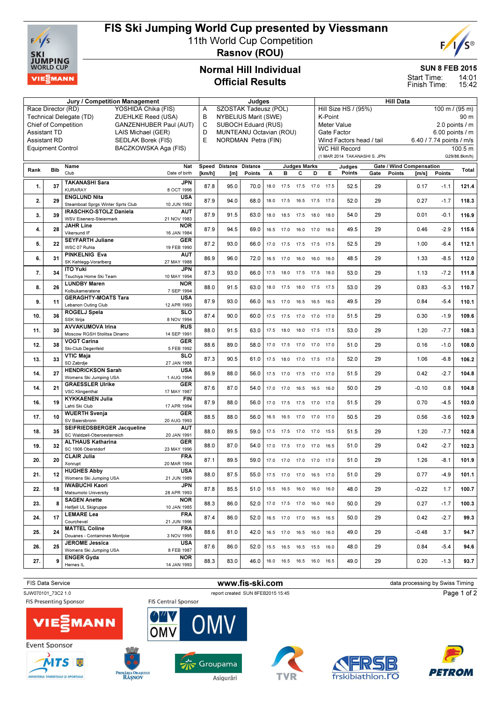

## FIS Ski Jumping World Cup presented by Viessmann

11th World Cup Competition



Rasnov (ROU)

### Normal Hill Individual Official Results

#### SUN 8 FEB 2015

**PETROM** 

frskibiathlon.

14:01 Start Time:

15:42 Finish Time:

| Jury / Competition Management             |                                                              |                                                           |                           |                              | Judges                   |        |      |                              |                     |           | <b>Hill Data</b>                                                            |                               |                              |        |                                 |                |               |  |
|-------------------------------------------|--------------------------------------------------------------|-----------------------------------------------------------|---------------------------|------------------------------|--------------------------|--------|------|------------------------------|---------------------|-----------|-----------------------------------------------------------------------------|-------------------------------|------------------------------|--------|---------------------------------|----------------|---------------|--|
|                                           | Race Director (RD)                                           | YOSHIDA Chika (FIS)                                       |                           | A                            | SZOSTAK Tadeusz (POL)    |        |      |                              |                     |           |                                                                             | Hill Size HS / (95%)          |                              |        |                                 | 100 m / (95 m) |               |  |
|                                           |                                                              | Technical Delegate (TD)<br>ZUEHLKE Reed (USA)             |                           | B                            | NYBELIUS Marit (SWE)     |        |      |                              |                     |           | K-Point                                                                     |                               |                              |        |                                 |                | 90 m          |  |
|                                           | <b>Chief of Competition</b><br><b>GANZENHUBER Paul (AUT)</b> |                                                           |                           |                              | C<br>SUBOCH Eduard (RUS) |        |      |                              |                     |           |                                                                             | 2.0 points / m<br>Meter Value |                              |        |                                 |                |               |  |
| <b>Assistant TD</b><br>LAIS Michael (GER) |                                                              |                                                           |                           | D<br>MUNTEANU Octavian (ROU) |                          |        |      |                              |                     |           | Gate Factor                                                                 |                               |                              |        |                                 |                |               |  |
|                                           | <b>Assistant RD</b>                                          |                                                           |                           |                              | NORDMAN Petra (FIN)      |        |      |                              |                     |           | $6.00$ points $/ m$<br>Wind Factors head / tail<br>6.40 / 7.74 points / m/s |                               |                              |        |                                 |                |               |  |
|                                           |                                                              | SEDLAK Borek (FIS)                                        |                           | E                            |                          |        |      |                              |                     |           |                                                                             |                               |                              |        |                                 |                |               |  |
|                                           | <b>Equipment Control</b>                                     | BACZKOWSKA Aga (FIS)                                      |                           |                              |                          |        |      |                              |                     |           |                                                                             | <b>WC Hill Record</b>         |                              |        |                                 |                | 100.5 m       |  |
|                                           |                                                              |                                                           |                           |                              |                          |        |      |                              |                     |           |                                                                             |                               | (1 MAR 2014 TAKANASHI S. JPN |        |                                 |                | G29/88.8km/h) |  |
|                                           |                                                              | Name                                                      | Nat                       |                              | Speed Distance Distance  |        |      |                              | <b>Judges Marks</b> |           |                                                                             | Judges                        |                              |        | <b>Gate / Wind Compensation</b> |                |               |  |
| Rank                                      | <b>Bib</b>                                                   | Club                                                      | Date of birth             | [km/h]                       | [m]                      | Points | А    | в                            | С                   | D         | Е                                                                           | Points                        | Gate                         | Points | [m/s]                           | <b>Points</b>  | Total         |  |
|                                           |                                                              |                                                           |                           |                              |                          |        |      |                              |                     |           |                                                                             |                               |                              |        |                                 |                |               |  |
| 1.                                        | 37                                                           | <b>TAKANASHI Sara</b>                                     | <b>JPN</b>                | 87.8                         | 95.0                     | 70.0   |      | 18.0 17.5                    | 17.5                | 17.0      | 17.5                                                                        | 52.5                          | 29                           |        | 0.17                            | $-1.1$         | 121.4         |  |
|                                           |                                                              | <b>KURARAY</b>                                            | 8 OCT 1996                |                              |                          |        |      |                              |                     |           |                                                                             |                               |                              |        |                                 |                |               |  |
| 2.                                        | 29                                                           | <b>ENGLUND Nita</b>                                       | <b>USA</b>                | 87.9                         | 94.0                     | 68.0   | 18.0 | 17.5                         | 16.5                | 17.5 17.0 |                                                                             | 52.0                          | 29                           |        | 0.27                            | $-1.7$         | 118.3         |  |
|                                           |                                                              | Steamboat Sprgs Winter Sprts Club                         | 10 JUN 1992               |                              |                          |        |      |                              |                     |           |                                                                             |                               |                              |        |                                 |                |               |  |
| 3.                                        | 39                                                           | <b>IRASCHKO-STOLZ Daniela</b>                             | <b>AUT</b>                | 87.9                         | 91.5                     | 63.0   |      | 18.0  18.5  17.5  18.0       |                     |           | 18.0                                                                        | 54.0                          | 29                           |        | 0.01                            | $-0.1$         | 116.9         |  |
|                                           |                                                              | <b>WSV Eisenerz-Steiermark</b>                            | 21 NOV 1983               |                              |                          |        |      |                              |                     |           |                                                                             |                               |                              |        |                                 |                |               |  |
| 4.                                        | 28                                                           | <b>JAHR Line</b>                                          | <b>NOR</b>                | 87.9                         | 94.5                     | 69.0   | 16.5 | 17.0                         | 16.0                | 17.0      | 16.0                                                                        | 49.5                          | 29                           |        | 0.46                            | $-2.9$         | 115.6         |  |
|                                           |                                                              | Vikersund IF                                              | 16 JAN 1984               |                              |                          |        |      |                              |                     |           |                                                                             |                               |                              |        |                                 |                |               |  |
| 5.                                        | 22                                                           | <b>SEYFARTH Juliane</b>                                   | GER                       | 87.2                         | 93.0                     | 66.0   | 17.0 | 17.5                         | 17.5                | 17.5      | 17.5                                                                        | 52.5                          | 29                           |        | 1.00                            | $-6.4$         | 112.1         |  |
|                                           |                                                              | WSC 07 Ruhla                                              | 19 FEB 1990               |                              |                          |        |      |                              |                     |           |                                                                             |                               |                              |        |                                 |                |               |  |
| 6.                                        | 31                                                           | <b>PINKELNIG Eva</b>                                      | <b>AUT</b>                | 86.9                         | 96.0                     | 72.0   | 16.5 | 17.0                         | 16.0                | 16.0      | 16.0                                                                        | 48.5                          | 29                           |        | 1.33                            | $-8.5$         | 112.0         |  |
|                                           |                                                              | SK Kehlegg-Vorarlberg                                     | 27 MAY 1988               |                              |                          |        |      |                              |                     |           |                                                                             |                               |                              |        |                                 |                |               |  |
| 7.                                        | 34                                                           | <b>ITO Yuki</b>                                           | JPN                       | 87.3                         | 93.0                     | 66.0   | 17.5 | 18.0                         | 17.5                | 17.5      | 18.0                                                                        | 53.0                          | 29                           |        | 1.13                            | $-7.2$         | 111.8         |  |
|                                           |                                                              | Tsuchiya Home Ski Team                                    | 10 MAY 1994               |                              |                          |        |      |                              |                     |           |                                                                             |                               |                              |        |                                 |                |               |  |
| 8.                                        | 26                                                           | <b>LUNDBY Maren</b>                                       | <b>NOR</b>                | 88.0                         | 91.5                     | 63.0   | 18.0 | 17.5                         | 18.0                | 17.5      | 17.5                                                                        | 53.0                          | 29                           |        | 0.83                            | $-5.3$         | 110.7         |  |
|                                           |                                                              | Kolbukameratene                                           | 7 SEP 1994                |                              |                          |        |      |                              |                     |           |                                                                             |                               |                              |        |                                 |                |               |  |
| 9.                                        | 11                                                           | <b>GERAGHTY-MOATS Tara</b>                                | <b>USA</b>                | 87.9                         | 93.0                     | 66.0   | 16.5 | 17.0                         | 16.5                | 16.5      | 16.0                                                                        | 49.5                          | 29                           |        | 0.84                            | $-5.4$         | 110.1         |  |
|                                           |                                                              | Lebanon Outing Club                                       | 12 APR 1993               |                              |                          |        |      |                              |                     |           |                                                                             |                               |                              |        |                                 |                |               |  |
| 10.                                       | 36                                                           | ROGELJ Spela                                              | <b>SLO</b>                | 87.4                         | 90.0                     | 60.0   |      | 17.5 17.5                    | 17.0 17.0 17.0      |           |                                                                             | 51.5                          | 29                           |        | 0.30                            | $-1.9$         | 109.6         |  |
|                                           |                                                              | SSK Ilirija                                               | 8 NOV 1994                |                              |                          |        |      |                              |                     |           |                                                                             |                               |                              |        |                                 |                |               |  |
| 11.                                       | 30                                                           | <b>AVVAKUMOVA Irina</b>                                   | <b>RUS</b>                | 88.0                         | 91.5                     | 63.0   |      | 17.5 18.0                    | 18.0 17.5 17.5      |           |                                                                             | 53.0                          | 29                           |        | 1.20                            | $-7.7$         | 108.3         |  |
|                                           |                                                              | Moscow RGSH Stolitsa Dinamo                               | 14 SEP 1991               |                              |                          |        |      |                              |                     |           |                                                                             |                               |                              |        |                                 |                |               |  |
| 12.                                       | 38                                                           | <b>VOGT Carina</b>                                        | GER                       | 88.6                         | 89.0                     | 58.0   |      | 17.0  17.5  17.0  17.0  17.0 |                     |           |                                                                             | 51.0                          | 29                           |        | 0.16                            | $-1.0$         | 108.0         |  |
|                                           |                                                              | Ski-Club Degenfeld                                        | 5 FEB 1992                |                              |                          |        |      |                              |                     |           |                                                                             |                               |                              |        |                                 |                |               |  |
| 13.                                       | 33                                                           | <b>VTIC Maja</b>                                          | <b>SLO</b>                | 87.3                         | 90.5                     | 61.0   | 17.5 | 18.0                         | 17.0                | 17.5      | 17.0                                                                        | 52.0                          | 29                           |        | 1.06                            | $-6.8$         | 106.2         |  |
|                                           |                                                              | SD Zabrdje<br>27 JAN 1988                                 |                           |                              |                          |        |      |                              |                     |           |                                                                             |                               |                              |        |                                 |                |               |  |
| 14.                                       | 27                                                           | <b>HENDRICKSON Sarah</b>                                  | USA                       | 86.9                         | 88.0                     | 56.0   | 17.5 | 17.0                         | 17.5                | 17.0      | 17.0                                                                        | 51.5                          | 29                           |        | 0.42                            | $-2.7$         | 104.8         |  |
|                                           |                                                              | Womens Ski Jumping USA                                    | 1 AUG 1994                |                              |                          |        |      |                              |                     |           |                                                                             |                               |                              |        |                                 |                |               |  |
| 14.                                       | 21                                                           | <b>GRAESSLER Ulrike</b>                                   | GER                       | 87.6                         | 87.0                     | 54.0   | 17.0 | 17.0                         | 16.5                | 16.5      | 16.0                                                                        | 50.0                          | 29                           |        | $-0.10$                         | 0.8            | 104.8         |  |
|                                           |                                                              | <b>VSC Klingenthal</b>                                    | 17 MAY 1987               |                              |                          |        |      |                              |                     |           |                                                                             |                               |                              |        |                                 |                |               |  |
| 16.                                       | 19                                                           | <b>KYKKAENEN Julia</b>                                    | <b>FIN</b><br>17 APR 1994 | 87.9                         | 88.0                     | 56.0   | 17.0 | 17.5                         | 17.5                | 17.0      | 17.0                                                                        | 51.5                          | 29                           |        | 0.70                            | $-4.5$         | 103.0         |  |
|                                           |                                                              | Lahti Ski Club                                            |                           |                              |                          |        |      |                              |                     |           |                                                                             |                               |                              |        |                                 |                |               |  |
| 17.                                       | 10                                                           | <b>WUERTH Svenja</b>                                      | <b>GER</b>                | 88.5                         | 88.0                     | 56.0   | 16.5 | 16.5                         | 17.0                | 17.0      | 17.0                                                                        | 50.5                          | 29                           |        | 0.56                            | $-3.6$         | 102.9         |  |
|                                           |                                                              | SV Baiersbronn                                            | 20 AUG 1993               |                              |                          |        |      |                              |                     |           |                                                                             |                               |                              |        |                                 |                |               |  |
| 18.                                       | 35                                                           | SEIFRIEDSBERGER Jacqueline<br>SC Waldzell-Oberoesterreich | <b>AUT</b>                | 88.0                         | 89.5                     | 59.0   | 17.5 | 17.5                         | 17.0                | 17.0      | 15.5                                                                        | 51.5                          | 29                           |        | 1.20                            | $-7.7$         | 102.8         |  |
|                                           |                                                              | <b>ALTHAUS Katharina</b>                                  | 20 JAN 1991               |                              |                          |        |      |                              |                     |           |                                                                             |                               |                              |        |                                 |                |               |  |
| 19.                                       | 32                                                           | SC 1906 Oberstdorf                                        | GER<br>23 MAY 1996        | 88.0                         | 87.0                     | 54.0   |      | 17.0  17.5  17.0  17.0  16.5 |                     |           |                                                                             | 51.0                          | 29                           |        | 0.42                            | $-2.7$         | 102.3         |  |
|                                           |                                                              | <b>CLAIR Julia</b>                                        | <b>FRA</b>                |                              |                          |        |      |                              |                     |           |                                                                             |                               |                              |        |                                 |                |               |  |
| 20.                                       | 20                                                           |                                                           | 20 MAR 1994               | 87.1                         | 89.5                     | 59.0   |      | 17.0  17.0  17.0  17.0  17.0 |                     |           |                                                                             | 51.0                          | 29                           |        | 1.26                            | $-8.1$         | 101.9         |  |
|                                           |                                                              | Xonrupt<br><b>HUGHES Abby</b>                             | <b>USA</b>                |                              |                          |        |      |                              |                     |           |                                                                             |                               |                              |        |                                 |                |               |  |
| 21.                                       | 12                                                           | Womens Ski Jumping USA                                    | 21 JUN 1989               | 88.0                         | 87.5                     | 55.0   |      | 17.5 17.0                    | 17.0 16.5 17.0      |           |                                                                             | 51.0                          | 29                           |        | 0.77                            | -4.9           | 101.1         |  |
|                                           |                                                              | IWABUCHI Kaori                                            | <b>JPN</b>                |                              |                          |        |      |                              |                     |           |                                                                             |                               |                              |        |                                 |                |               |  |
| 22.                                       | 18                                                           | Matsumoto University                                      | 28 APR 1993               | 87.8                         | 85.5                     | 51.0   |      | 15.5 16.5 16.0 16.0 16.0     |                     |           |                                                                             | 48.0                          | 29                           |        | $-0.22$                         | 1.7            | 100.7         |  |
|                                           |                                                              | <b>SAGEN Anette</b>                                       | <b>NOR</b>                |                              |                          |        |      |                              |                     |           |                                                                             |                               |                              |        |                                 |                |               |  |
| 23.                                       | 8                                                            | Helfjell UL Skigruppe                                     | 10 JAN 1985               | 88.3                         | 86.0                     | 52.0   |      | 17.0  17.5  17.0  16.0  16.0 |                     |           |                                                                             | 50.0                          | 29                           |        | 0.27                            | $-1.7$         | 100.3         |  |
|                                           |                                                              | <b>LEMARE Lea</b>                                         | <b>FRA</b>                |                              |                          |        |      |                              |                     |           |                                                                             |                               |                              |        |                                 |                |               |  |
| 24.                                       | 17                                                           | Courchevel                                                | 21 JUN 1996               | 87.4                         | 86.0                     | 52.0   |      | 16.5 17.0 17.0 16.5 16.5     |                     |           |                                                                             | 50.0                          | 29                           |        | 0.42                            | $-2.7$         | 99.3          |  |
|                                           |                                                              | <b>MATTEL Coline</b>                                      | <b>FRA</b>                |                              |                          |        |      |                              |                     |           |                                                                             |                               |                              |        |                                 |                |               |  |
| 25.                                       | 24                                                           | Douanes - Contamines Montjoie                             | 3 NOV 1995                | 88.6                         | 81.0                     | 42.0   |      | 16.5 17.0 16.5 16.0 16.0     |                     |           |                                                                             | 49.0                          | 29                           |        | $-0.48$                         | 3.7            | 94.7          |  |
|                                           |                                                              | <b>JEROME Jessica</b>                                     | <b>USA</b>                |                              |                          |        |      |                              |                     |           |                                                                             |                               |                              |        |                                 |                |               |  |
| 26.                                       | 25                                                           | Womens Ski Jumping USA                                    | 8 FEB 1987                | 87.6                         | 86.0                     | 52.0   |      | 15.5 16.5 16.5 15.5 16.0     |                     |           |                                                                             | 48.0                          | 29                           |        | 0.84                            | $-5.4$         | 94.6          |  |
|                                           |                                                              | <b>ENGER Gyda</b>                                         | <b>NOR</b>                |                              |                          |        |      |                              |                     |           |                                                                             |                               |                              |        |                                 |                |               |  |
| 27.                                       | 9                                                            | Hernes IL                                                 | 14 JAN 1993               | 88.3                         | 83.0                     | 46.0   |      | 16.0  16.5  16.5  16.0  16.5 |                     |           |                                                                             | 49.0                          | 29                           |        | 0.20                            | $-1.3$         | 93.7          |  |
|                                           |                                                              |                                                           |                           |                              |                          |        |      |                              |                     |           |                                                                             |                               |                              |        |                                 |                |               |  |



Asigurări

PRIMĂRIA ORAȘULUI

MINISTERUL TINERETULUI ȘI SPORTULU